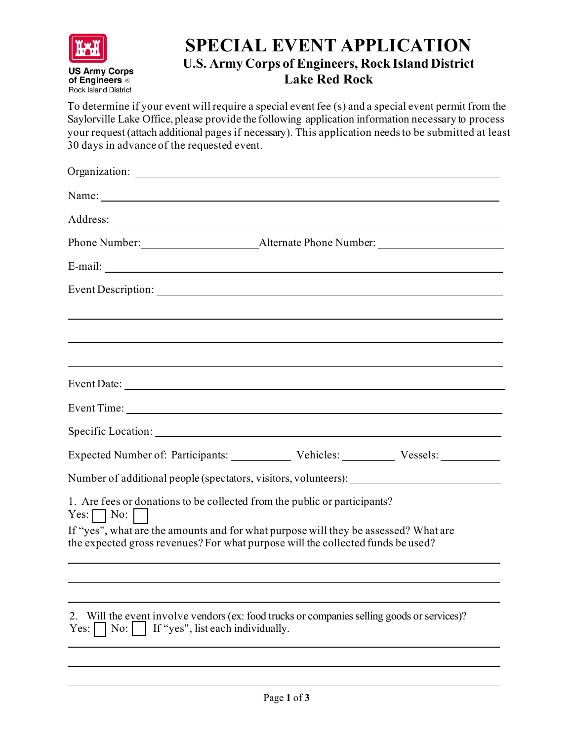

## **SPECIAL EVENT APPLICATION U.S. Army Corps of Engineers, Rock Island District Lake Red Rock**

To determine if your event will require a special event fee (s) and a special event permit from the Saylorville Lake Office, please provide the following application information necessary to process your request (attach additional pages if necessary). This application needs to be submitted at least 30 days in advance of the requested event.

| Specific Location: New York Contains the Contract of the Contract of the Contract of the Contract of the Contract of the Contract of the Contract of the Contract of the Contract of the Contract of the Contract of the Contr |  |
|--------------------------------------------------------------------------------------------------------------------------------------------------------------------------------------------------------------------------------|--|
| Expected Number of: Participants: Vehicles: Vessels: Vessels:                                                                                                                                                                  |  |
| Number of additional people (spectators, visitors, volunteers):                                                                                                                                                                |  |
| 1. Are fees or donations to be collected from the public or participants?                                                                                                                                                      |  |
| $Yes: \Box No: \Box$<br>If "yes", what are the amounts and for what purpose will they be assessed? What are                                                                                                                    |  |
| the expected gross revenues? For what purpose will the collected funds be used?                                                                                                                                                |  |
|                                                                                                                                                                                                                                |  |
|                                                                                                                                                                                                                                |  |
| 2. Will the event involve vendors (ex: food trucks or companies selling goods or services)?<br>$Yes: \Box No: \Box If "yes", list each individually.$                                                                          |  |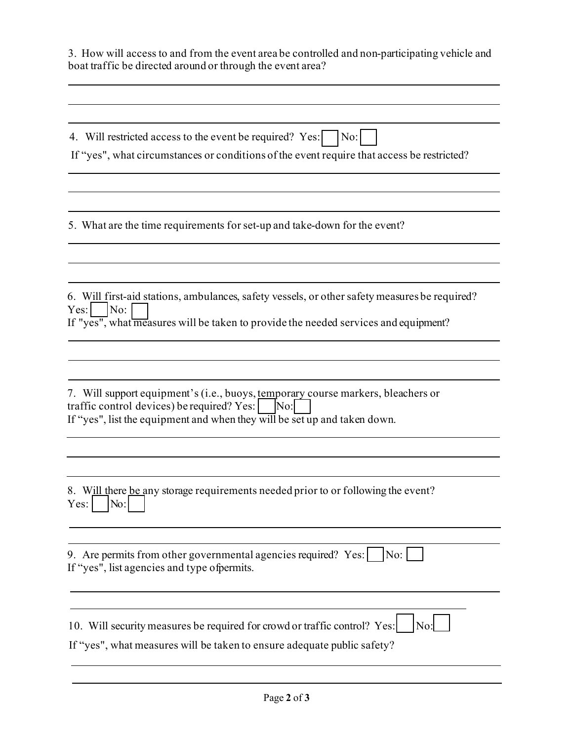3. How will access to and from the event area be controlled and non-participating vehicle and boat traffic be directed around or through the event area?

| 4. Will restricted access to the event be required? Yes:<br>$\vert$ No:<br>If "yes", what circumstances or conditions of the event require that access be restricted?                                                                    |
|------------------------------------------------------------------------------------------------------------------------------------------------------------------------------------------------------------------------------------------|
|                                                                                                                                                                                                                                          |
| 5. What are the time requirements for set-up and take-down for the event?                                                                                                                                                                |
|                                                                                                                                                                                                                                          |
| 6. Will first-aid stations, ambulances, safety vessels, or other safety measures be required?<br>No:<br>Yes:<br>If "yes", what measures will be taken to provide the needed services and equipment?                                      |
|                                                                                                                                                                                                                                          |
| 7. Will support equipment's (i.e., buoys, temporary course markers, bleachers or<br>traffic control devices) be required? $Yes:$<br>$\overline{\text{No:}}$<br>If "yes", list the equipment and when they will be set up and taken down. |
|                                                                                                                                                                                                                                          |
| 8. Will there be any storage requirements needed prior to or following the event?<br>No:<br>Yes:                                                                                                                                         |
| 9. Are permits from other governmental agencies required? Yes:  <br>$\vert$ No: $\vert$<br>If "yes", list agencies and type of permits.                                                                                                  |
| 10. Will security measures be required for crowd or traffic control? Yes:<br>No:                                                                                                                                                         |
| If "yes", what measures will be taken to ensure adequate public safety?                                                                                                                                                                  |